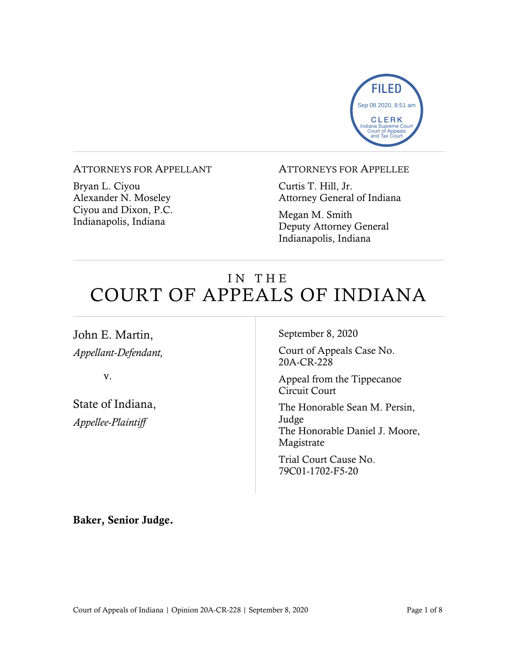

#### ATTORNEYS FOR APPELLANT

Bryan L. Ciyou Alexander N. Moseley Ciyou and Dixon, P.C. Indianapolis, Indiana

### ATTORNEYS FOR APPELLEE

Curtis T. Hill, Jr. Attorney General of Indiana

Megan M. Smith Deputy Attorney General Indianapolis, Indiana

# IN THE COURT OF APPEALS OF INDIANA

John E. Martin, *Appellant-Defendant,*

v.

State of Indiana, *Appellee-Plaintiff*

September 8, 2020

Court of Appeals Case No. 20A-CR-228

Appeal from the Tippecanoe Circuit Court

The Honorable Sean M. Persin, Judge The Honorable Daniel J. Moore, Magistrate

Trial Court Cause No. 79C01-1702-F5-20

Baker, Senior Judge.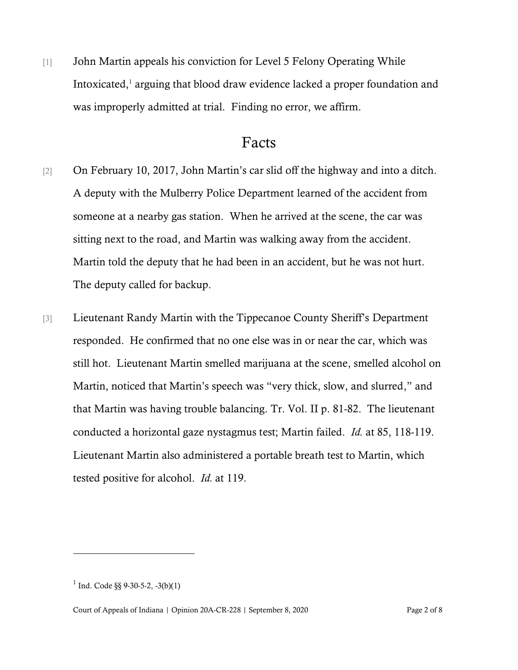[1] John Martin appeals his conviction for Level 5 Felony Operating While Intoxicated,<sup>1</sup> arguing that blood draw evidence lacked a proper foundation and was improperly admitted at trial. Finding no error, we affirm.

## Facts

- [2] On February 10, 2017, John Martin's car slid off the highway and into a ditch. A deputy with the Mulberry Police Department learned of the accident from someone at a nearby gas station. When he arrived at the scene, the car was sitting next to the road, and Martin was walking away from the accident. Martin told the deputy that he had been in an accident, but he was not hurt. The deputy called for backup.
- [3] Lieutenant Randy Martin with the Tippecanoe County Sheriff's Department responded. He confirmed that no one else was in or near the car, which was still hot. Lieutenant Martin smelled marijuana at the scene, smelled alcohol on Martin, noticed that Martin's speech was "very thick, slow, and slurred," and that Martin was having trouble balancing. Tr. Vol. II p. 81-82. The lieutenant conducted a horizontal gaze nystagmus test; Martin failed. *Id.* at 85, 118-119. Lieutenant Martin also administered a portable breath test to Martin, which tested positive for alcohol. *Id.* at 119.

 $1$  Ind. Code §§ 9-30-5-2, -3(b)(1)

Court of Appeals of Indiana | Opinion 20A-CR-228 | September 8, 2020 Page 2 of 8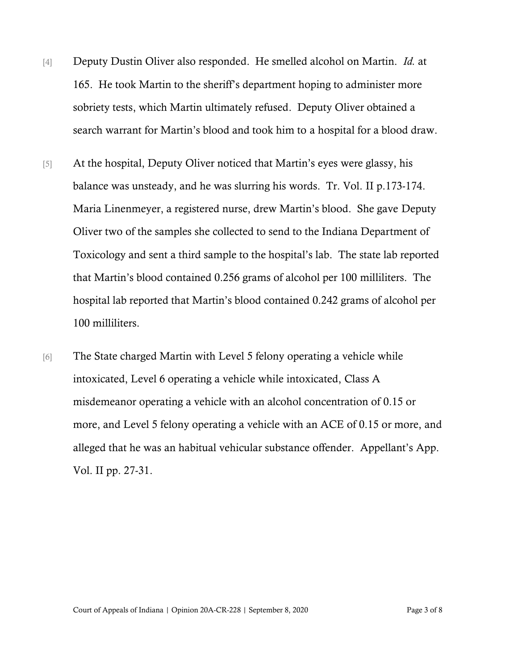- [4] Deputy Dustin Oliver also responded. He smelled alcohol on Martin. *Id.* at 165. He took Martin to the sheriff's department hoping to administer more sobriety tests, which Martin ultimately refused. Deputy Oliver obtained a search warrant for Martin's blood and took him to a hospital for a blood draw.
- [5] At the hospital, Deputy Oliver noticed that Martin's eyes were glassy, his balance was unsteady, and he was slurring his words. Tr. Vol. II p.173-174. Maria Linenmeyer, a registered nurse, drew Martin's blood. She gave Deputy Oliver two of the samples she collected to send to the Indiana Department of Toxicology and sent a third sample to the hospital's lab. The state lab reported that Martin's blood contained 0.256 grams of alcohol per 100 milliliters. The hospital lab reported that Martin's blood contained 0.242 grams of alcohol per 100 milliliters.
- [6] The State charged Martin with Level 5 felony operating a vehicle while intoxicated, Level 6 operating a vehicle while intoxicated, Class A misdemeanor operating a vehicle with an alcohol concentration of 0.15 or more, and Level 5 felony operating a vehicle with an ACE of 0.15 or more, and alleged that he was an habitual vehicular substance offender. Appellant's App. Vol. II pp. 27-31.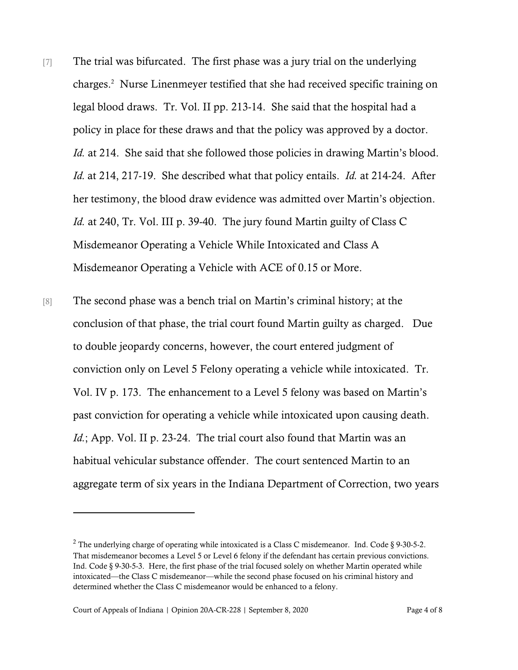- [7] The trial was bifurcated. The first phase was a jury trial on the underlying charges.<sup>2</sup> Nurse Linenmeyer testified that she had received specific training on legal blood draws. Tr. Vol. II pp. 213-14. She said that the hospital had a policy in place for these draws and that the policy was approved by a doctor. *Id.* at 214. She said that she followed those policies in drawing Martin's blood. *Id.* at 214, 217-19. She described what that policy entails. *Id.* at 214-24. After her testimony, the blood draw evidence was admitted over Martin's objection. *Id.* at 240, Tr. Vol. III p. 39-40. The jury found Martin guilty of Class C Misdemeanor Operating a Vehicle While Intoxicated and Class A Misdemeanor Operating a Vehicle with ACE of 0.15 or More.
- [8] The second phase was a bench trial on Martin's criminal history; at the conclusion of that phase, the trial court found Martin guilty as charged. Due to double jeopardy concerns, however, the court entered judgment of conviction only on Level 5 Felony operating a vehicle while intoxicated. Tr. Vol. IV p. 173. The enhancement to a Level 5 felony was based on Martin's past conviction for operating a vehicle while intoxicated upon causing death. *Id.*; App. Vol. II p. 23-24. The trial court also found that Martin was an habitual vehicular substance offender. The court sentenced Martin to an aggregate term of six years in the Indiana Department of Correction, two years

<sup>&</sup>lt;sup>2</sup> The underlying charge of operating while intoxicated is a Class C misdemeanor. Ind. Code  $\S$  9-30-5-2. That misdemeanor becomes a Level 5 or Level 6 felony if the defendant has certain previous convictions. Ind. Code § 9-30-5-3. Here, the first phase of the trial focused solely on whether Martin operated while intoxicated—the Class C misdemeanor—while the second phase focused on his criminal history and determined whether the Class C misdemeanor would be enhanced to a felony.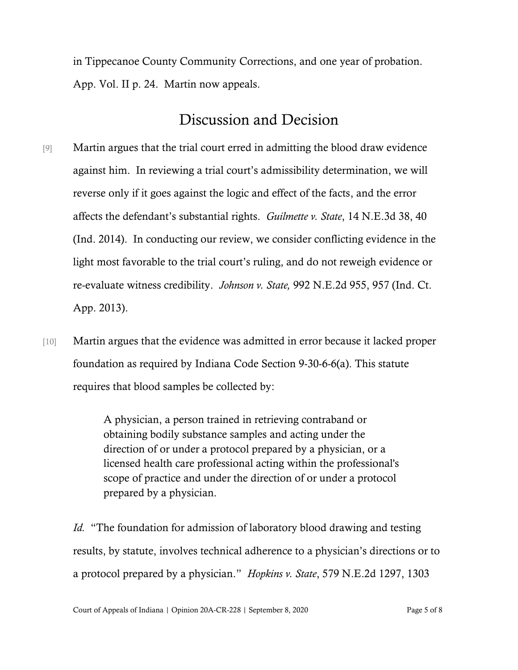in Tippecanoe County Community Corrections, and one year of probation. App. Vol. II p. 24. Martin now appeals.

## Discussion and Decision

- [9] Martin argues that the trial court erred in admitting the blood draw evidence against him. In reviewing a trial court's admissibility determination, we will reverse only if it goes against the logic and effect of the facts, and the error affects the defendant's substantial rights. *Guilmette v. State*, 14 N.E.3d 38, 40 (Ind. 2014). In conducting our review, we consider conflicting evidence in the light most favorable to the trial court's ruling, and do not reweigh evidence or re-evaluate witness credibility. *Johnson v. State,* 992 N.E.2d 955, 957 (Ind. Ct. App. 2013).
- [10] Martin argues that the evidence was admitted in error because it lacked proper foundation as required by Indiana Code Section 9-30-6-6(a). This statute requires that blood samples be collected by:

A physician, a person trained in retrieving contraband or obtaining bodily substance samples and acting under the direction of or under a protocol prepared by a physician, or a licensed health care professional acting within the professional's scope of practice and under the direction of or under a protocol prepared by a physician.

*Id.* "The foundation for admission of laboratory blood drawing and testing results, by statute, involves technical adherence to a physician's directions or to a protocol prepared by a physician." *Hopkins v. State*, 579 N.E.2d 1297, 1303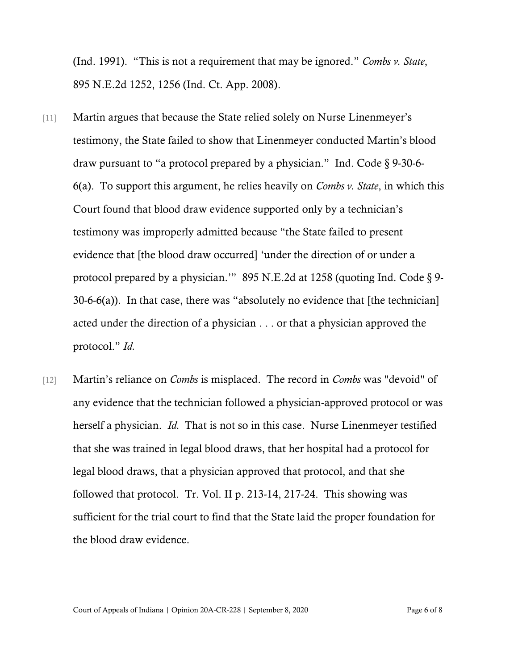(Ind. 1991). "This is not a requirement that may be ignored." *Combs v. State*, 895 N.E.2d 1252, 1256 (Ind. Ct. App. 2008).

- [11] Martin argues that because the State relied solely on Nurse Linenmeyer's testimony, the State failed to show that Linenmeyer conducted Martin's blood draw pursuant to "a protocol prepared by a physician." Ind. Code § 9-30-6- 6(a). To support this argument, he relies heavily on *Combs v. State*, in which this Court found that blood draw evidence supported only by a technician's testimony was improperly admitted because "the State failed to present evidence that [the blood draw occurred] 'under the direction of or under a protocol prepared by a physician.'" 895 N.E.2d at 1258 (quoting Ind. Code § 9- 30-6-6(a)). In that case, there was "absolutely no evidence that [the technician] acted under the direction of a physician . . . or that a physician approved the protocol." *Id.*
- [12] Martin's reliance on *Combs* is misplaced. The record in *Combs* was "devoid" of any evidence that the technician followed a physician-approved protocol or was herself a physician. *Id.* That is not so in this case. Nurse Linenmeyer testified that she was trained in legal blood draws, that her hospital had a protocol for legal blood draws, that a physician approved that protocol, and that she followed that protocol. Tr. Vol. II p. 213-14, 217-24. This showing was sufficient for the trial court to find that the State laid the proper foundation for the blood draw evidence.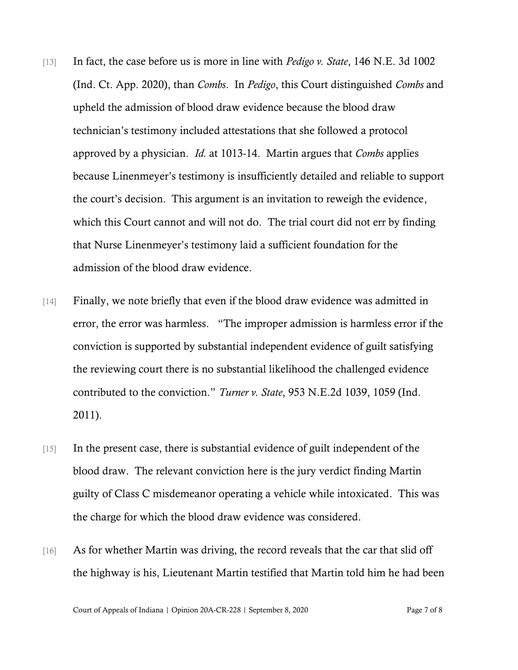- [13] In fact, the case before us is more in line with *Pedigo v. State*, 146 N.E. 3d 1002 (Ind. Ct. App. 2020), than *Combs*. In *Pedigo*, this Court distinguished *Combs* and upheld the admission of blood draw evidence because the blood draw technician's testimony included attestations that she followed a protocol approved by a physician. *Id.* at 1013-14. Martin argues that *Combs* applies because Linenmeyer's testimony is insufficiently detailed and reliable to support the court's decision. This argument is an invitation to reweigh the evidence, which this Court cannot and will not do. The trial court did not err by finding that Nurse Linenmeyer's testimony laid a sufficient foundation for the admission of the blood draw evidence.
- [14] Finally, we note briefly that even if the blood draw evidence was admitted in error, the error was harmless. "The improper admission is harmless error if the conviction is supported by substantial independent evidence of guilt satisfying the reviewing court there is no substantial likelihood the challenged evidence contributed to the conviction." *Turner v. State*, 953 N.E.2d 1039, 1059 (Ind. 2011).
- [15] In the present case, there is substantial evidence of guilt independent of the blood draw. The relevant conviction here is the jury verdict finding Martin guilty of Class C misdemeanor operating a vehicle while intoxicated. This was the charge for which the blood draw evidence was considered.
- [16] As for whether Martin was driving, the record reveals that the car that slid off the highway is his, Lieutenant Martin testified that Martin told him he had been

Court of Appeals of Indiana | Opinion 20A-CR-228 | September 8, 2020 Page 7 of 8